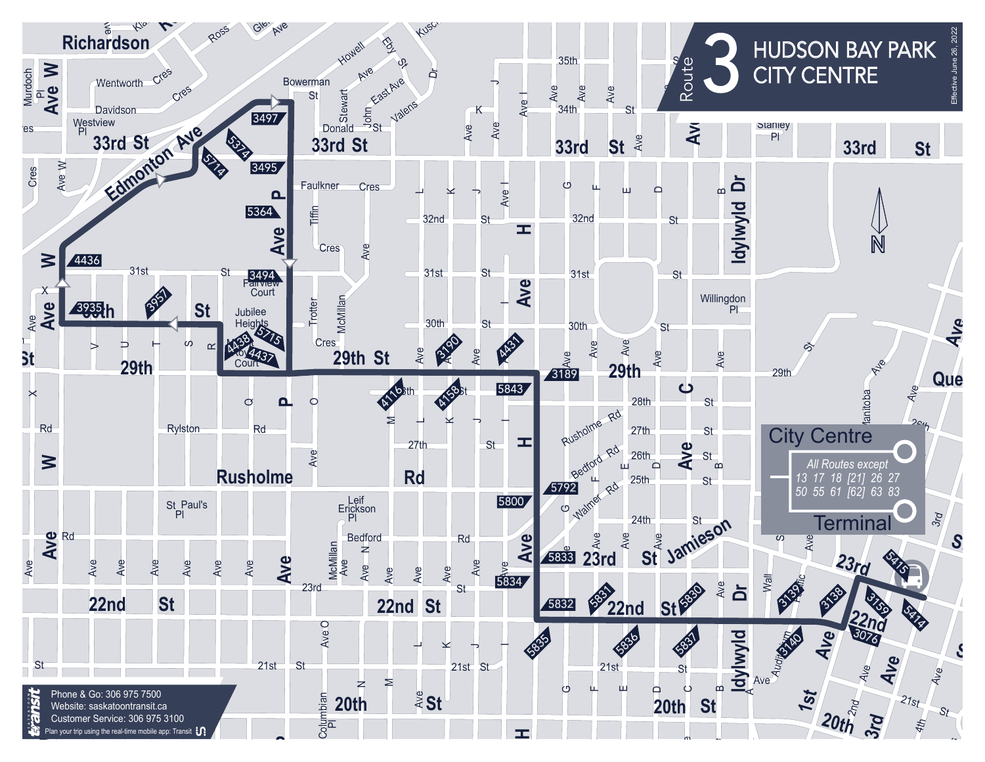